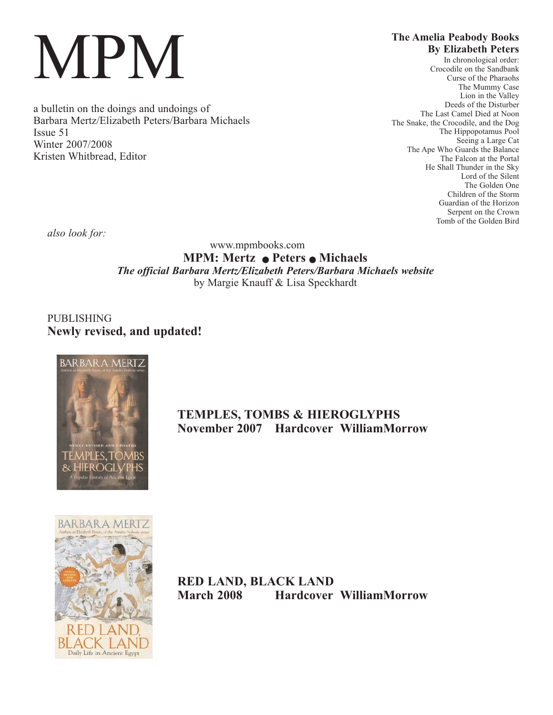# MPM

a bulletin on the doings and undoings of Barbara Mertz/Elizabeth Peters/Barbara Michaels Issue 51 Winter 2007/2008 Kristen Whitbread, Editor

### **The Amelia Peabody Books By Elizabeth Peters**

In chronological order: Crocodile on the Sandbank Curse of the Pharaohs The Mummy Case Lion in the Valley Deeds of the Disturber The Last Camel Died at Noon The Snake, the Crocodile, and the Dog The Hippopotamus Pool Seeing a Large Cat The Ape Who Guards the Balance The Falcon at the Portal He Shall Thunder in the Sky Lord of the Silent The Golden One Children of the Storm Guardian of the Horizon Serpent on the Crown Tomb of the Golden Bird

*also look for:*

www.mpmbooks.com **MPM: Mertz • Peters • Michaels** *The official Barbara Mertz/Elizabeth Peters/Barbara Michaels website* by Margie Knauff & Lisa Speckhardt

PUBLISHING **Newly revised, and updated!**



# **TEMPLES, TOMBS & HIEROGLYPHS November 2007 Hardcover WilliamMorrow**



**RED LAND, BLACK LAND March 2008 Hardcover WilliamMorrow**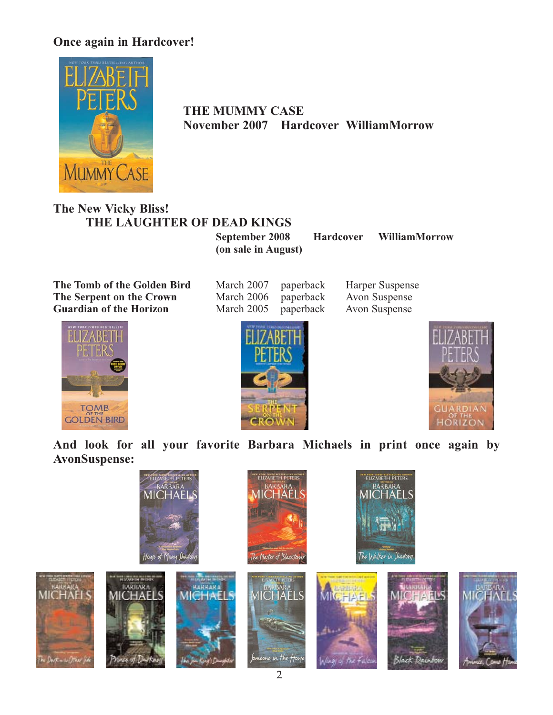# **Once again in Hardcover!**



**THE MUMMY CASE November 2007 Hardcover WilliamMorrow**

# **The New Vicky Bliss! THE LAUGHTER OF DEAD KINGS**

**September 2008 Hardcover WilliamMorrow (on sale in August)**

**The Tomb of the Golden Bird** March 2007 paperback Harper Suspense<br> **The Serpent on the Crown** March 2006 paperback Avon Suspense **The Serpent on the Crown** March 2006 paperback Avon Suspense<br> **Guardian of the Horizon** March 2005 paperback Avon Suspense **Guardian of the Horizon** 







**And look for all your favorite Barbara Michaels in print once again by AvonSuspense:**

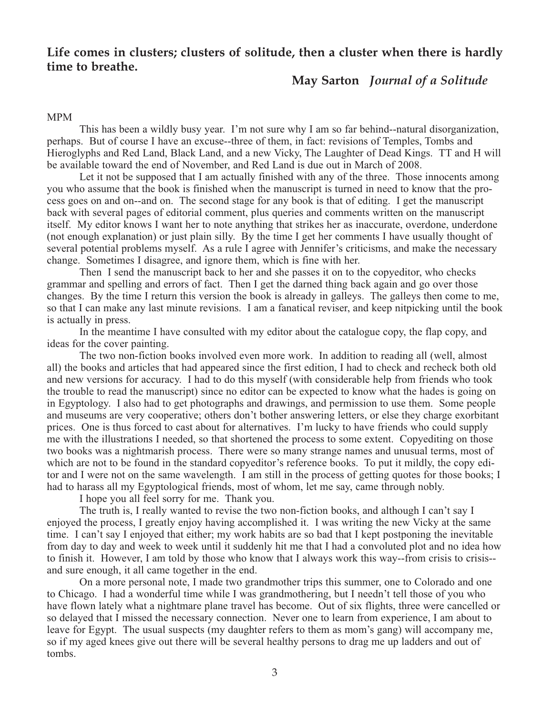## **Life comes in clusters; clusters of solitude, then a cluster when there is hardly time to breathe.**

## **May Sarton** *Journal of a Solitude*

#### MPM

This has been a wildly busy year. I'm not sure why I am so far behind--natural disorganization, perhaps. But of course I have an excuse--three of them, in fact: revisions of Temples, Tombs and Hieroglyphs and Red Land, Black Land, and a new Vicky, The Laughter of Dead Kings. TT and H will be available toward the end of November, and Red Land is due out in March of 2008.

Let it not be supposed that I am actually finished with any of the three. Those innocents among you who assume that the book is finished when the manuscript is turned in need to know that the process goes on and on--and on. The second stage for any book is that of editing. I get the manuscript back with several pages of editorial comment, plus queries and comments written on the manuscript itself. My editor knows I want her to note anything that strikes her as inaccurate, overdone, underdone (not enough explanation) or just plain silly. By the time I get her comments I have usually thought of several potential problems myself. As a rule I agree with Jennifer's criticisms, and make the necessary change. Sometimes I disagree, and ignore them, which is fine with her.

Then I send the manuscript back to her and she passes it on to the copyeditor, who checks grammar and spelling and errors of fact. Then I get the darned thing back again and go over those changes. By the time I return this version the book is already in galleys. The galleys then come to me, so that I can make any last minute revisions. I am a fanatical reviser, and keep nitpicking until the book is actually in press.

In the meantime I have consulted with my editor about the catalogue copy, the flap copy, and ideas for the cover painting.

The two non-fiction books involved even more work. In addition to reading all (well, almost all) the books and articles that had appeared since the first edition, I had to check and recheck both old and new versions for accuracy. I had to do this myself (with considerable help from friends who took the trouble to read the manuscript) since no editor can be expected to know what the hades is going on in Egyptology. I also had to get photographs and drawings, and permission to use them. Some people and museums are very cooperative; others don't bother answering letters, or else they charge exorbitant prices. One is thus forced to cast about for alternatives. I'm lucky to have friends who could supply me with the illustrations I needed, so that shortened the process to some extent. Copyediting on those two books was a nightmarish process. There were so many strange names and unusual terms, most of which are not to be found in the standard copyeditor's reference books. To put it mildly, the copy editor and I were not on the same wavelength. I am still in the process of getting quotes for those books; I had to harass all my Egyptological friends, most of whom, let me say, came through nobly.

I hope you all feel sorry for me. Thank you.

The truth is, I really wanted to revise the two non-fiction books, and although I can't say I enjoyed the process, I greatly enjoy having accomplished it. I was writing the new Vicky at the same time. I can't say I enjoyed that either; my work habits are so bad that I kept postponing the inevitable from day to day and week to week until it suddenly hit me that I had a convoluted plot and no idea how to finish it. However, I am told by those who know that I always work this way--from crisis to crisis- and sure enough, it all came together in the end.

On a more personal note, I made two grandmother trips this summer, one to Colorado and one to Chicago. I had a wonderful time while I was grandmothering, but I needn't tell those of you who have flown lately what a nightmare plane travel has become. Out of six flights, three were cancelled or so delayed that I missed the necessary connection. Never one to learn from experience, I am about to leave for Egypt. The usual suspects (my daughter refers to them as mom's gang) will accompany me, so if my aged knees give out there will be several healthy persons to drag me up ladders and out of tombs.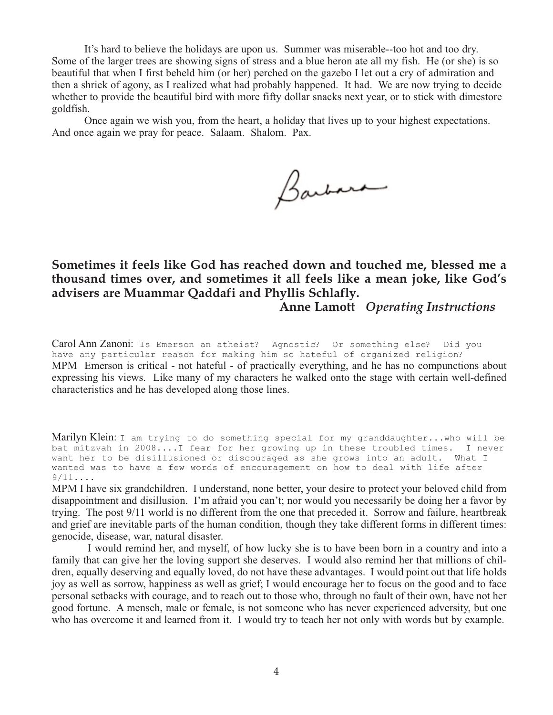It's hard to believe the holidays are upon us. Summer was miserable--too hot and too dry. Some of the larger trees are showing signs of stress and a blue heron ate all my fish. He (or she) is so beautiful that when I first beheld him (or her) perched on the gazebo I let out a cry of admiration and then a shriek of agony, as I realized what had probably happened. It had. We are now trying to decide whether to provide the beautiful bird with more fifty dollar snacks next year, or to stick with dimestore goldfish.

Once again we wish you, from the heart, a holiday that lives up to your highest expectations. And once again we pray for peace. Salaam. Shalom. Pax.

Barbara

**Sometimes it feels like God has reached down and touched me, blessed me a thousand times over, and sometimes it all feels like a mean joke, like God's advisers are Muammar Qaddafi and Phyllis Schlafly.**

**Anne Lamott** *Operating Instructions*

Carol Ann Zanoni: Is Emerson an atheist? Agnostic? Or something else? Did you have any particular reason for making him so hateful of organized religion? MPM Emerson is critical - not hateful - of practically everything, and he has no compunctions about expressing his views. Like many of my characters he walked onto the stage with certain well-defined characteristics and he has developed along those lines.

Marilyn Klein: I am trying to do something special for my granddaughter...who will be bat mitzvah in 2008....I fear for her growing up in these troubled times. I never want her to be disillusioned or discouraged as she grows into an adult. What I wanted was to have a few words of encouragement on how to deal with life after  $9/11...$ 

MPM I have six grandchildren. I understand, none better, your desire to protect your beloved child from disappointment and disillusion. I'm afraid you can't; nor would you necessarily be doing her a favor by trying. The post 9/11 world is no different from the one that preceded it. Sorrow and failure, heartbreak and grief are inevitable parts of the human condition, though they take different forms in different times: genocide, disease, war, natural disaster.

I would remind her, and myself, of how lucky she is to have been born in a country and into a family that can give her the loving support she deserves. I would also remind her that millions of children, equally deserving and equally loved, do not have these advantages. I would point out that life holds joy as well as sorrow, happiness as well as grief; I would encourage her to focus on the good and to face personal setbacks with courage, and to reach out to those who, through no fault of their own, have not her good fortune. A mensch, male or female, is not someone who has never experienced adversity, but one who has overcome it and learned from it. I would try to teach her not only with words but by example.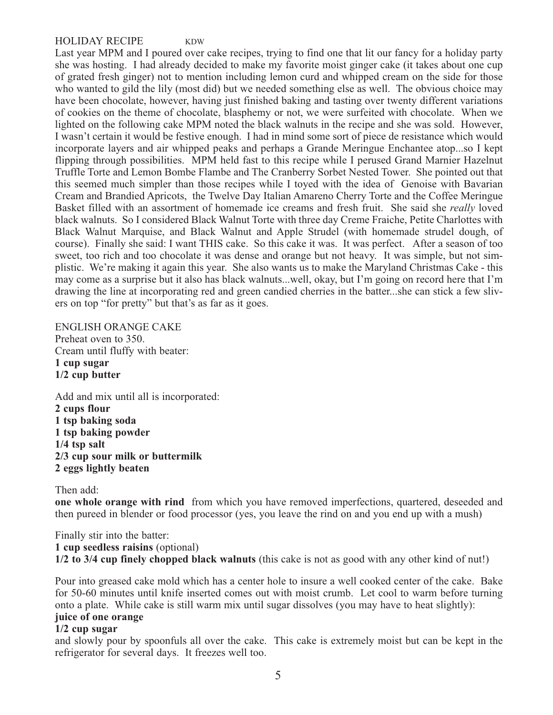#### HOLIDAY RECIPE KDW

Last year MPM and I poured over cake recipes, trying to find one that lit our fancy for a holiday party she was hosting. I had already decided to make my favorite moist ginger cake (it takes about one cup of grated fresh ginger) not to mention including lemon curd and whipped cream on the side for those who wanted to gild the lily (most did) but we needed something else as well. The obvious choice may have been chocolate, however, having just finished baking and tasting over twenty different variations of cookies on the theme of chocolate, blasphemy or not, we were surfeited with chocolate. When we lighted on the following cake MPM noted the black walnuts in the recipe and she was sold. However, I wasn't certain it would be festive enough. I had in mind some sort of piece de resistance which would incorporate layers and air whipped peaks and perhaps a Grande Meringue Enchantee atop...so I kept flipping through possibilities. MPM held fast to this recipe while I perused Grand Marnier Hazelnut Truffle Torte and Lemon Bombe Flambe and The Cranberry Sorbet Nested Tower. She pointed out that this seemed much simpler than those recipes while I toyed with the idea of Genoise with Bavarian Cream and Brandied Apricots, the Twelve Day Italian Amareno Cherry Torte and the Coffee Meringue Basket filled with an assortment of homemade ice creams and fresh fruit. She said she *really* loved black walnuts. So I considered Black Walnut Torte with three day Creme Fraiche, Petite Charlottes with Black Walnut Marquise, and Black Walnut and Apple Strudel (with homemade strudel dough, of course). Finally she said: I want THIS cake. So this cake it was. It was perfect. After a season of too sweet, too rich and too chocolate it was dense and orange but not heavy. It was simple, but not simplistic. We're making it again this year. She also wants us to make the Maryland Christmas Cake - this may come as a surprise but it also has black walnuts...well, okay, but I'm going on record here that I'm drawing the line at incorporating red and green candied cherries in the batter...she can stick a few slivers on top "for pretty" but that's as far as it goes.

#### ENGLISH ORANGE CAKE Preheat oven to 350. Cream until fluffy with beater: **1 cup sugar**

Add and mix until all is incorporated: **2 cups flour 1 tsp baking soda 1 tsp baking powder 1/4 tsp salt 2/3 cup sour milk or buttermilk 2 eggs lightly beaten**

#### Then add:

**1/2 cup butter**

**one whole orange with rind** from which you have removed imperfections, quartered, deseeded and then pureed in blender or food processor (yes, you leave the rind on and you end up with a mush)

#### Finally stir into the batter: **1 cup seedless raisins** (optional) **1/2 to 3/4 cup finely chopped black walnuts** (this cake is not as good with any other kind of nut!)

Pour into greased cake mold which has a center hole to insure a well cooked center of the cake. Bake for 50-60 minutes until knife inserted comes out with moist crumb. Let cool to warm before turning onto a plate. While cake is still warm mix until sugar dissolves (you may have to heat slightly): **juice of one orange**

#### **1/2 cup sugar**

and slowly pour by spoonfuls all over the cake. This cake is extremely moist but can be kept in the refrigerator for several days. It freezes well too.